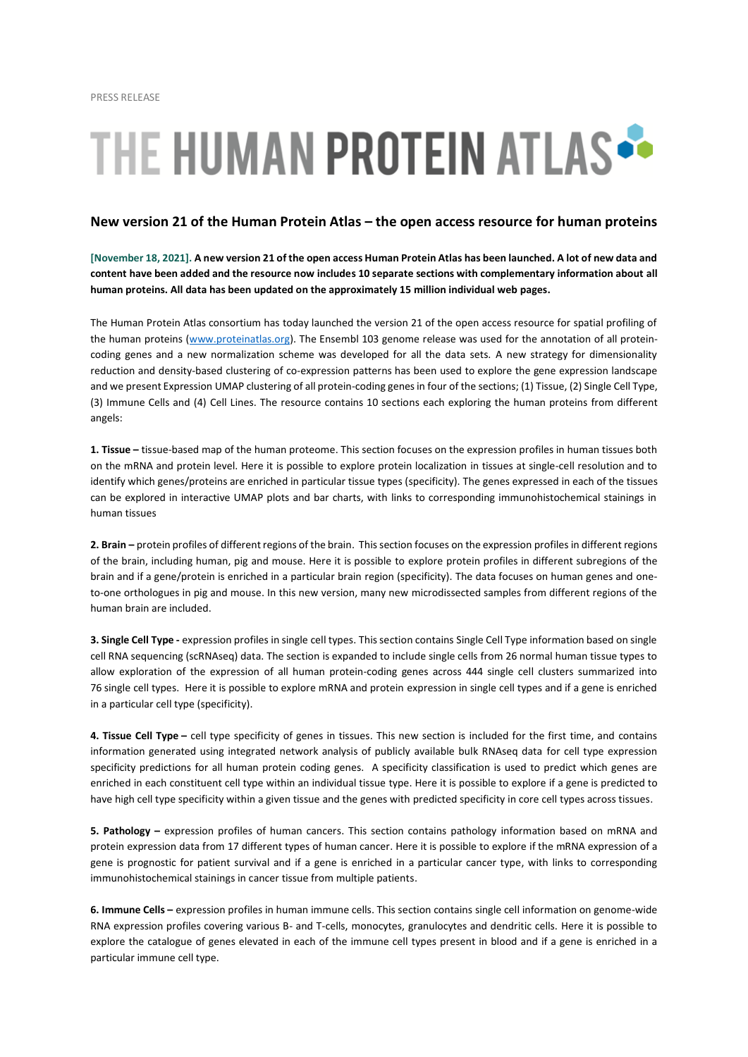## THE HUMAN PROTEIN ATLAS

## **New version 21 of the Human Protein Atlas – the open access resource for human proteins**

**[November 18, 2021]. A new version 21 of the open access Human Protein Atlas has been launched. A lot of new data and content have been added and the resource now includes 10 separate sections with complementary information about all human proteins. All data has been updated on the approximately 15 million individual web pages.**

The Human Protein Atlas consortium has today launched the version 21 of the open access resource for spatial profiling of the human proteins [\(www.proteinatlas.org\)](http://www.proteinatlas.org/). The Ensembl 103 genome release was used for the annotation of all proteincoding genes and a new normalization scheme was developed for all the data sets. A new strategy for dimensionality reduction and density-based clustering of co-expression patterns has been used to explore the gene expression landscape and we present Expression UMAP clustering of all protein-coding genes in four of the sections; (1) Tissue, (2) Single Cell Type, (3) Immune Cells and (4) Cell Lines. The resource contains 10 sections each exploring the human proteins from different angels:

**1. Tissue –** tissue-based map of the human proteome. This section focuses on the expression profiles in human tissues both on the mRNA and protein level. Here it is possible to explore protein localization in tissues at single-cell resolution and to identify which genes/proteins are enriched in particular tissue types (specificity). The genes expressed in each of the tissues can be explored in interactive UMAP plots and bar charts, with links to corresponding immunohistochemical stainings in human tissues

**2. Brain –** protein profiles of different regions of the brain. This section focuses on the expression profiles in different regions of the brain, including human, pig and mouse. Here it is possible to explore protein profiles in different subregions of the brain and if a gene/protein is enriched in a particular brain region (specificity). The data focuses on human genes and oneto-one orthologues in pig and mouse. In this new version, many new microdissected samples from different regions of the human brain are included.

**3. Single Cell Type -** expression profiles in single cell types. This section contains Single Cell Type information based on single cell RNA sequencing (scRNAseq) data. The section is expanded to include single cells from 26 normal human tissue types to allow exploration of the expression of all human protein-coding genes across 444 single cell clusters summarized into 76 single cell types. Here it is possible to explore mRNA and protein expression in single cell types and if a gene is enriched in a particular cell type (specificity).

**4. Tissue Cell Type –** cell type specificity of genes in tissues. This new section is included for the first time, and contains information generated using integrated network analysis of publicly available bulk RNAseq data for cell type expression specificity predictions for all human protein coding genes. A specificity classification is used to predict which genes are enriched in each constituent cell type within an individual tissue type. Here it is possible to explore if a gene is predicted to have high cell type specificity within a given tissue and the genes with predicted specificity in core cell types across tissues.

**5. Pathology –** expression profiles of human cancers. This section contains pathology information based on mRNA and protein expression data from 17 different types of human cancer. Here it is possible to explore if the mRNA expression of a gene is prognostic for patient survival and if a gene is enriched in a particular cancer type, with links to corresponding immunohistochemical stainings in cancer tissue from multiple patients.

**6. Immune Cells –** expression profiles in human immune cells. This section contains single cell information on genome-wide RNA expression profiles covering various B- and T-cells, monocytes, granulocytes and dendritic cells. Here it is possible to explore the catalogue of genes elevated in each of the immune cell types present in blood and if a gene is enriched in a particular immune cell type.